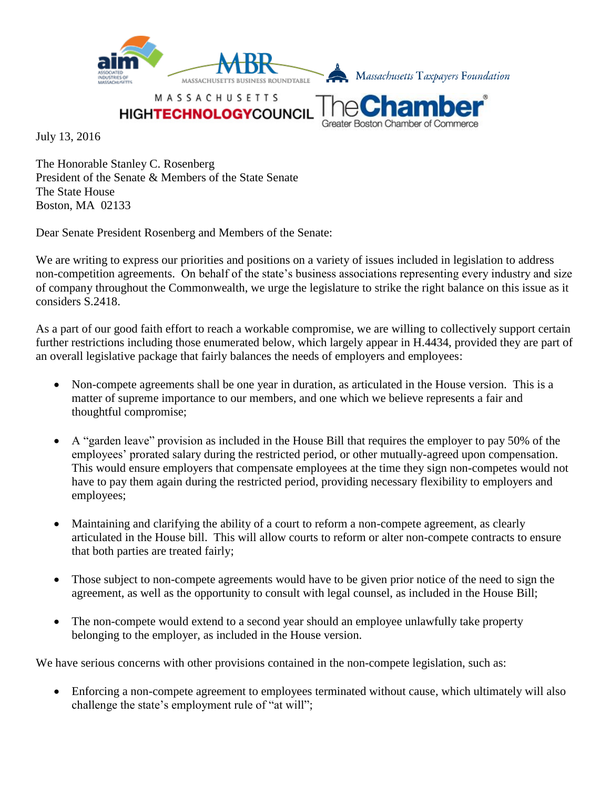

MASSACHUSETTS

**HIGHTECHNOLOGYCOUNCI** 

Greater Boston Chamber of Commerce

July 13, 2016

The Honorable Stanley C. Rosenberg President of the Senate & Members of the State Senate The State House Boston, MA 02133

Dear Senate President Rosenberg and Members of the Senate:

We are writing to express our priorities and positions on a variety of issues included in legislation to address non-competition agreements. On behalf of the state's business associations representing every industry and size of company throughout the Commonwealth, we urge the legislature to strike the right balance on this issue as it considers S.2418.

As a part of our good faith effort to reach a workable compromise, we are willing to collectively support certain further restrictions including those enumerated below, which largely appear in H.4434, provided they are part of an overall legislative package that fairly balances the needs of employers and employees:

- Non-compete agreements shall be one year in duration, as articulated in the House version. This is a matter of supreme importance to our members, and one which we believe represents a fair and thoughtful compromise;
- A "garden leave" provision as included in the House Bill that requires the employer to pay 50% of the employees' prorated salary during the restricted period, or other mutually-agreed upon compensation. This would ensure employers that compensate employees at the time they sign non-competes would not have to pay them again during the restricted period, providing necessary flexibility to employers and employees;
- Maintaining and clarifying the ability of a court to reform a non-compete agreement, as clearly articulated in the House bill. This will allow courts to reform or alter non-compete contracts to ensure that both parties are treated fairly;
- Those subject to non-compete agreements would have to be given prior notice of the need to sign the agreement, as well as the opportunity to consult with legal counsel, as included in the House Bill;
- The non-compete would extend to a second year should an employee unlawfully take property belonging to the employer, as included in the House version.

We have serious concerns with other provisions contained in the non-compete legislation, such as:

• Enforcing a non-compete agreement to employees terminated without cause, which ultimately will also challenge the state's employment rule of "at will";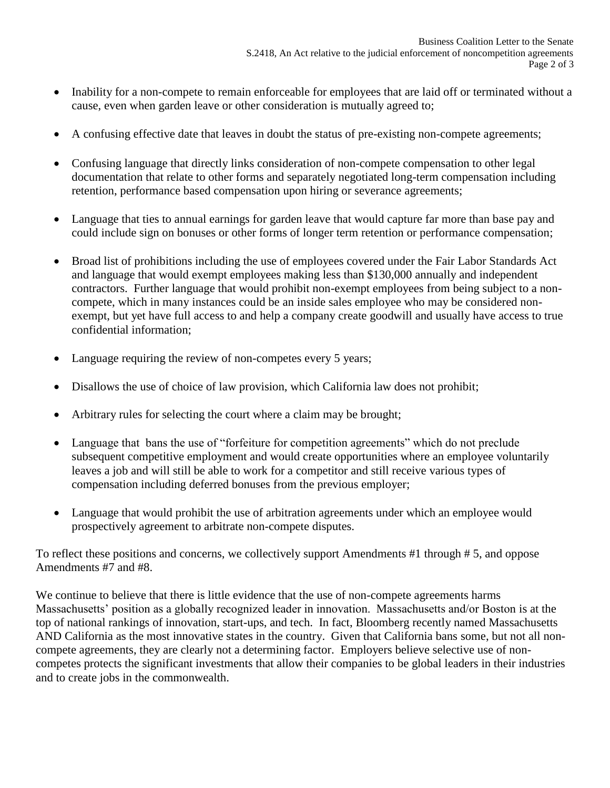- Inability for a non-compete to remain enforceable for employees that are laid off or terminated without a cause, even when garden leave or other consideration is mutually agreed to;
- A confusing effective date that leaves in doubt the status of pre-existing non-compete agreements;
- Confusing language that directly links consideration of non-compete compensation to other legal documentation that relate to other forms and separately negotiated long-term compensation including retention, performance based compensation upon hiring or severance agreements;
- Language that ties to annual earnings for garden leave that would capture far more than base pay and could include sign on bonuses or other forms of longer term retention or performance compensation;
- Broad list of prohibitions including the use of employees covered under the Fair Labor Standards Act and language that would exempt employees making less than \$130,000 annually and independent contractors. Further language that would prohibit non-exempt employees from being subject to a noncompete, which in many instances could be an inside sales employee who may be considered nonexempt, but yet have full access to and help a company create goodwill and usually have access to true confidential information;
- Language requiring the review of non-competes every 5 years;
- Disallows the use of choice of law provision, which California law does not prohibit;
- Arbitrary rules for selecting the court where a claim may be brought;
- Language that bans the use of "forfeiture for competition agreements" which do not preclude subsequent competitive employment and would create opportunities where an employee voluntarily leaves a job and will still be able to work for a competitor and still receive various types of compensation including deferred bonuses from the previous employer;
- Language that would prohibit the use of arbitration agreements under which an employee would prospectively agreement to arbitrate non-compete disputes.

To reflect these positions and concerns, we collectively support Amendments #1 through # 5, and oppose Amendments #7 and #8.

We continue to believe that there is little evidence that the use of non-compete agreements harms Massachusetts' position as a globally recognized leader in innovation. Massachusetts and/or Boston is at the top of national rankings of innovation, start-ups, and tech. In fact, Bloomberg recently named Massachusetts AND California as the most innovative states in the country. Given that California bans some, but not all noncompete agreements, they are clearly not a determining factor. Employers believe selective use of noncompetes protects the significant investments that allow their companies to be global leaders in their industries and to create jobs in the commonwealth.